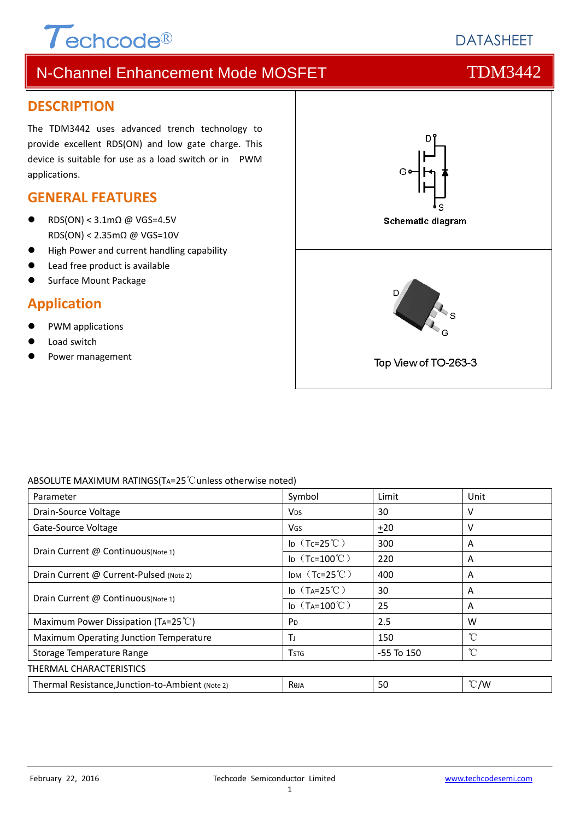# $\tau$ echcode®

# **DATASHEET**

# N-Channel Enhancement Mode MOSFET THE TDM3442

#### **DESCRIPTION**

The TDM3442 uses advanced trench technology to provide excellent RDS(ON) and low gate charge. This device is suitable for use as a load switch or in PWM applications.

#### **GENERAL FEATURES**

- RDS(ON) < 3.1mΩ @ VGS=4.5V RDS(ON) < 2.35mΩ @ VGS=10V
- High Power and current handling capability
- Lead free product is available
- Surface Mount Package

#### **Application**

- PWM applications
- Load switch
- Power management



#### ABSOLUTE MAXIMUM RATINGS(TA=25℃unless otherwise noted)

| Parameter                                        | Symbol                  | Limit          | Unit          |  |  |  |
|--------------------------------------------------|-------------------------|----------------|---------------|--|--|--|
| Drain-Source Voltage                             | <b>V<sub>DS</sub></b>   | 30             | v             |  |  |  |
| Gate-Source Voltage                              | <b>V<sub>GS</sub></b>   | $+20$          | ν             |  |  |  |
| Drain Current @ Continuous (Note 1)              | ID $(Tc=25^{\circ}C)$   | 300            | A             |  |  |  |
|                                                  | ID $(Tc=100^{\circ}C)$  | 220            | A             |  |  |  |
| Drain Current @ Current-Pulsed (Note 2)          | IDM $(Tc=25^{\circ}C)$  | 400            | A             |  |  |  |
| Drain Current @ Continuous (Note 1)              | ID $(T_A=25^{\circ}C)$  | 30             | A             |  |  |  |
|                                                  | ID $(T_A=100^{\circ}C)$ | 25             | A             |  |  |  |
| Maximum Power Dissipation (TA=25 $^{\circ}$ C)   | P <sub>D</sub>          | 2.5            | W             |  |  |  |
| Maximum Operating Junction Temperature           | Τı                      | 150            | °C            |  |  |  |
| Storage Temperature Range                        | <b>T</b> stg            | $-55$ To $150$ | °C            |  |  |  |
| THERMAL CHARACTERISTICS                          |                         |                |               |  |  |  |
| Thermal Resistance, Junction-to-Ambient (Note 2) | Reja                    | 50             | $\degree$ C/W |  |  |  |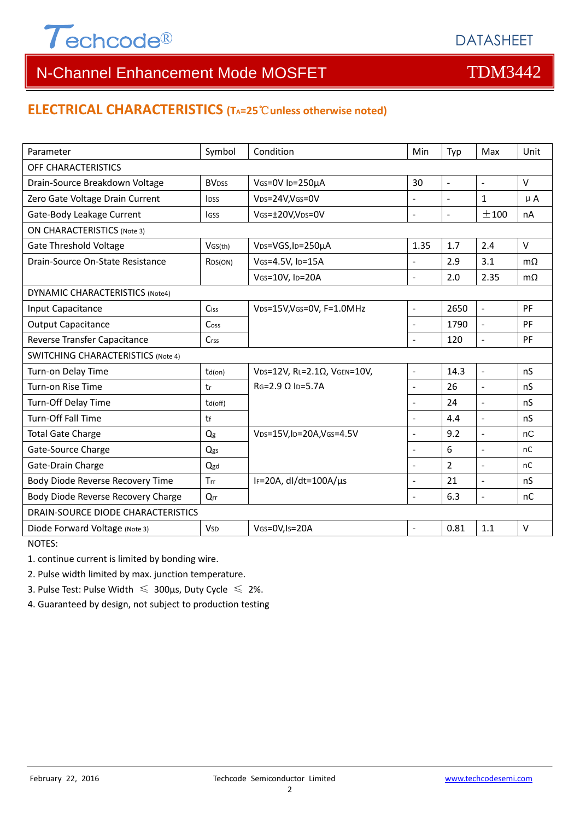

### **ELECTRICAL CHARACTERISTICS (TA=25**℃**unless otherwise noted)**

| Parameter                                 | Symbol                   | Condition                                          | Min                      | Typ            | Max                      | Unit      |  |  |
|-------------------------------------------|--------------------------|----------------------------------------------------|--------------------------|----------------|--------------------------|-----------|--|--|
| OFF CHARACTERISTICS                       |                          |                                                    |                          |                |                          |           |  |  |
| Drain-Source Breakdown Voltage            | <b>BV</b> <sub>DSS</sub> | VGS=0V ID=250µA                                    | 30                       | $\blacksquare$ | $\blacksquare$           | V         |  |  |
| Zero Gate Voltage Drain Current           | <b>IDSS</b>              | VDS=24V, VGS=0V                                    | $\overline{\phantom{0}}$ | $\sim$         | $\mathbf{1}$             | $\mu$ A   |  |  |
| Gate-Body Leakage Current                 | lgss                     | VGS=±20V,VDS=0V                                    | $\overline{a}$           | $\blacksquare$ | ±100                     | nA        |  |  |
| <b>ON CHARACTERISTICS (Note 3)</b>        |                          |                                                    |                          |                |                          |           |  |  |
| <b>Gate Threshold Voltage</b>             | VGS(th)                  | VDS=VGS, ID=250µA                                  | 1.35                     | 1.7            | 2.4                      | $\vee$    |  |  |
| Drain-Source On-State Resistance          | R <sub>DS</sub> (ON)     | VGS=4.5V, ID=15A                                   | L.                       | 2.9            | 3.1                      | $m\Omega$ |  |  |
|                                           |                          | VGS=10V, ID=20A                                    | L.                       | 2.0            | 2.35                     | $m\Omega$ |  |  |
| <b>DYNAMIC CHARACTERISTICS (Note4)</b>    |                          |                                                    |                          |                |                          |           |  |  |
| Input Capacitance                         | Ciss                     | V <sub>DS</sub> =15V,V <sub>GS</sub> =0V, F=1.0MHz | $\overline{\phantom{a}}$ | 2650           | $\mathbb{L}$             | PF        |  |  |
| <b>Output Capacitance</b>                 | Cos <sub>S</sub>         |                                                    | $\overline{a}$           | 1790           | $\overline{\phantom{a}}$ | PF        |  |  |
| Reverse Transfer Capacitance              | Crss                     |                                                    | $\blacksquare$           | 120            | $\blacksquare$           | PF        |  |  |
| <b>SWITCHING CHARACTERISTICS (Note 4)</b> |                          |                                                    |                          |                |                          |           |  |  |
| Turn-on Delay Time                        | $td($ on $)$             | VDS=12V, RL=2.1Ω, VGEN=10V,                        | $\overline{a}$           | 14.3           | $\blacksquare$           | nS        |  |  |
| Turn-on Rise Time                         | tr                       | $RG=2.9 \Omega$ Ip=5.7A                            | $\overline{a}$           | 26             | $\overline{\phantom{a}}$ | nS        |  |  |
| Turn-Off Delay Time                       | td(off)                  |                                                    |                          | 24             | $\overline{\phantom{a}}$ | nS        |  |  |
| <b>Turn-Off Fall Time</b>                 | tf                       |                                                    | $\blacksquare$           | 4.4            | $\sim$                   | nS        |  |  |
| <b>Total Gate Charge</b>                  | Qg                       | VDS=15V, ID=20A, VGS=4.5V                          |                          | 9.2            | $\sim$                   | nC        |  |  |
| Gate-Source Charge                        | Qgs                      |                                                    | $\blacksquare$           | 6              | $\overline{\phantom{a}}$ | nC        |  |  |
| Gate-Drain Charge                         | Qgd                      |                                                    |                          | $\overline{2}$ | $\overline{a}$           | nC        |  |  |
| Body Diode Reverse Recovery Time          | Trr                      | IF=20A, $dl/dt=100A/\mu s$                         | ÷,                       | 21             | $\overline{a}$           | nS        |  |  |
| Body Diode Reverse Recovery Charge        | Qrr                      |                                                    | L.                       | 6.3            | $\overline{a}$           | nC        |  |  |
| DRAIN-SOURCE DIODE CHARACTERISTICS        |                          |                                                    |                          |                |                          |           |  |  |
| Diode Forward Voltage (Note 3)            | <b>V<sub>SD</sub></b>    | VGS=0V,Is=20A                                      | $\blacksquare$           | 0.81           | 1.1                      | $\vee$    |  |  |

NOTES:

1. continue current is limited by bonding wire.

2. Pulse width limited by max. junction temperature.

3. Pulse Test: Pulse Width  $\leq 300$ μs, Duty Cycle  $\leq 2\%$ .

4. Guaranteed by design, not subject to production testing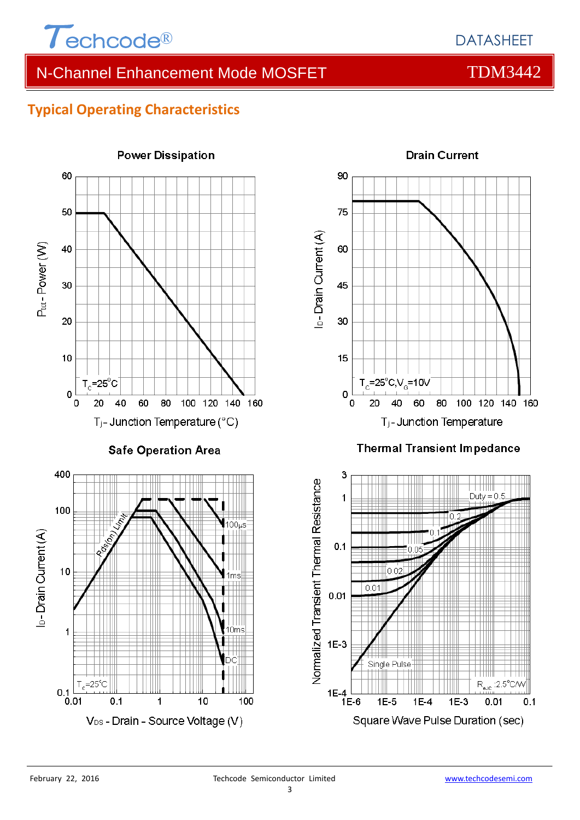

# **Typical Operating Characteristics**

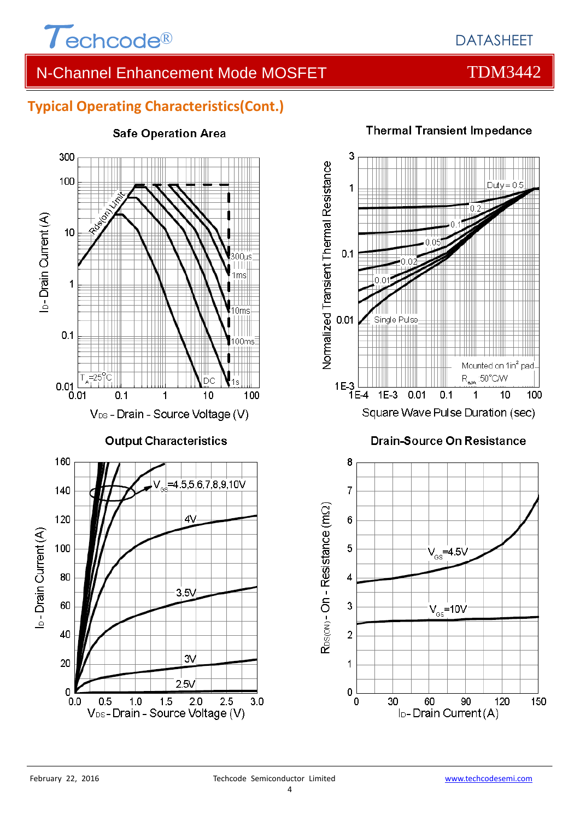

### **Typical Operating Characteristics(Cont.)**



#### **Safe Operation Area**

### **Thermal Transient Impedance**



60

90

l<sub>D</sub>-Drain Current (A)

120

150

 $\mathbf 0$ 

َ0َ

30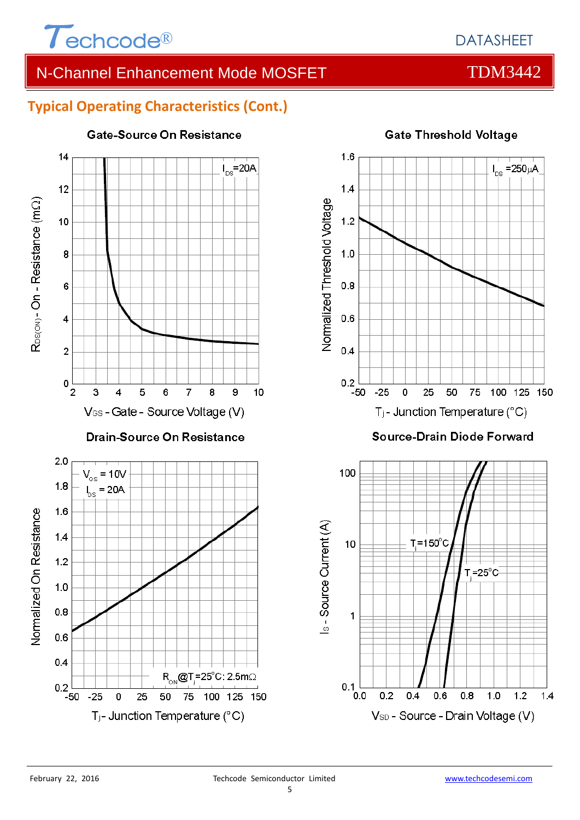

# **Typical Operating Characteristics (Cont.)**



#### Gate-Source On Resistance

# **Gate Threshold Voltage**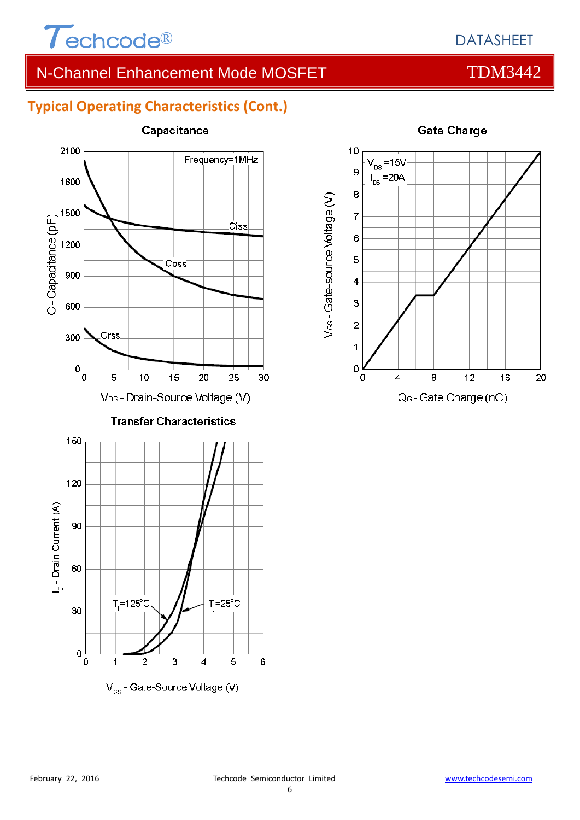

# DATASHEET

# N-Channel Enhancement Mode MOSFET THE TDM3442

# **Typical Operating Characteristics (Cont.)**



 $V_{\alpha\alpha}$  - Gate-Source Voltage (V)



#### **Gate Charge**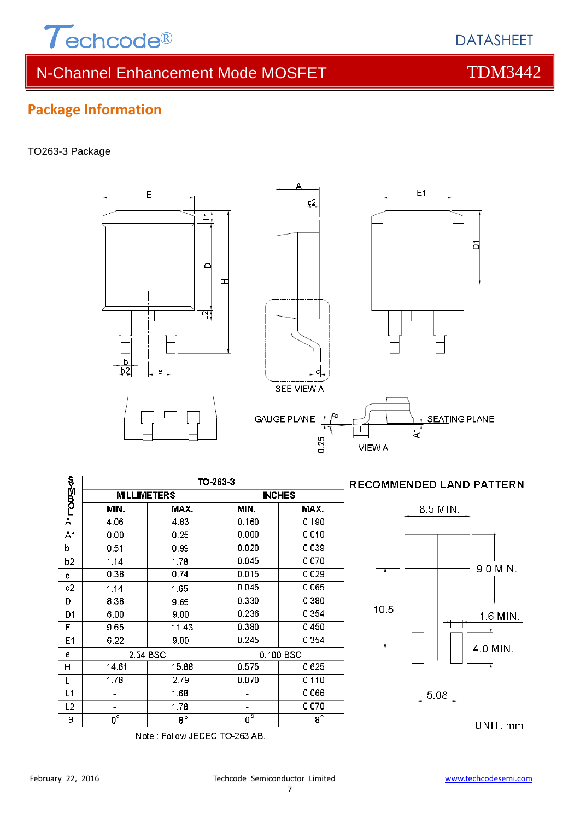

 $\sum$ 

d

<u>না</u>

F

#### TO263-3 Package







#### **RECOMMENDED LAND PATTERN**



UNIT: mm